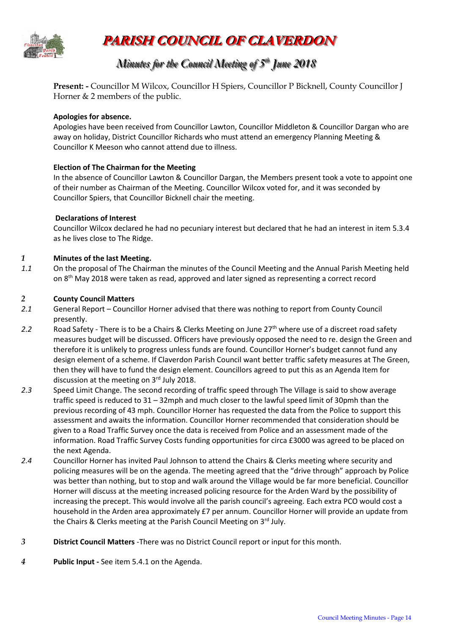

# **PARISH COUNCIL OF CLAVERDON**

## *Minutes for the Council Meeting of 5 t thh June 2018*

**Present: -** Councillor M Wilcox, Councillor H Spiers, Councillor P Bicknell, County Councillor J Horner & 2 members of the public.

## **Apologies for absence.**

Apologies have been received from Councillor Lawton, Councillor Middleton & Councillor Dargan who are away on holiday, District Councillor Richards who must attend an emergency Planning Meeting & Councillor K Meeson who cannot attend due to illness.

## **Election of The Chairman for the Meeting**

In the absence of Councillor Lawton & Councillor Dargan, the Members present took a vote to appoint one of their number as Chairman of the Meeting. Councillor Wilcox voted for, and it was seconded by Councillor Spiers, that Councillor Bicknell chair the meeting.

#### **Declarations of Interest**

Councillor Wilcox declared he had no pecuniary interest but declared that he had an interest in item 5.3.4 as he lives close to The Ridge.

#### *1* **Minutes of the last Meeting.**

*1.1* On the proposal of The Chairman the minutes of the Council Meeting and the Annual Parish Meeting held on 8<sup>th</sup> May 2018 were taken as read, approved and later signed as representing a correct record

#### *2* **County Council Matters**

- *2.1* General Report Councillor Horner advised that there was nothing to report from County Council presently.
- 2.2 Road Safety There is to be a Chairs & Clerks Meeting on June 27<sup>th</sup> where use of a discreet road safety measures budget will be discussed. Officers have previously opposed the need to re. design the Green and therefore it is unlikely to progress unless funds are found. Councillor Horner's budget cannot fund any design element of a scheme. If Claverdon Parish Council want better traffic safety measures at The Green, then they will have to fund the design element. Councillors agreed to put this as an Agenda Item for discussion at the meeting on 3<sup>rd</sup> July 2018.
- *2.3* Speed Limit Change. The second recording of traffic speed through The Village is said to show average traffic speed is reduced to 31 – 32mph and much closer to the lawful speed limit of 30pmh than the previous recording of 43 mph. Councillor Horner has requested the data from the Police to support this assessment and awaits the information. Councillor Horner recommended that consideration should be given to a Road Traffic Survey once the data is received from Police and an assessment made of the information. Road Traffic Survey Costs funding opportunities for circa £3000 was agreed to be placed on the next Agenda.
- *2.4* Councillor Horner has invited Paul Johnson to attend the Chairs & Clerks meeting where security and policing measures will be on the agenda. The meeting agreed that the "drive through" approach by Police was better than nothing, but to stop and walk around the Village would be far more beneficial. Councillor Horner will discuss at the meeting increased policing resource for the Arden Ward by the possibility of increasing the precept. This would involve all the parish council's agreeing. Each extra PCO would cost a household in the Arden area approximately £7 per annum. Councillor Horner will provide an update from the Chairs & Clerks meeting at the Parish Council Meeting on 3rd July.
- *3* **District Council Matters** -There was no District Council report or input for this month.
- *4* **Public Input -** See item 5.4.1 on the Agenda.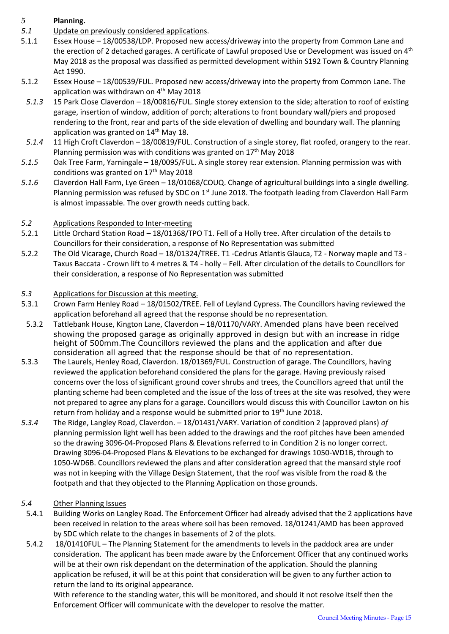## *5* **Planning.**

- *5.1* Update on previously considered applications.
- 5.1.1 Essex House 18/00538/LDP. Proposed new access/driveway into the property from Common Lane and the erection of 2 detached garages. A certificate of Lawful proposed Use or Development was issued on 4<sup>th</sup> May 2018 as the proposal was classified as permitted development within S192 Town & Country Planning Act 1990.
- 5.1.2 Essex House 18/00539/FUL. Proposed new access/driveway into the property from Common Lane. The application was withdrawn on 4<sup>th</sup> May 2018
- *5.1.3* 15 Park Close Claverdon 18/00816/FUL. Single storey extension to the side; alteration to roof of existing garage, insertion of window, addition of porch; alterations to front boundary wall/piers and proposed rendering to the front, rear and parts of the side elevation of dwelling and boundary wall. The planning application was granted on  $14<sup>th</sup>$  May 18.
- *5.1.4* 11 High Croft Claverdon 18/00819/FUL. Construction of a single storey, flat roofed, orangery to the rear. Planning permission was with conditions was granted on  $17<sup>th</sup>$  May 2018
- *5.1.5* Oak Tree Farm, Yarningale 18/0095/FUL. A single storey rear extension. Planning permission was with conditions was granted on 17<sup>th</sup> May 2018
- *5.1.6* Claverdon Hall Farm, Lye Green 18/01068/COUQ. Change of agricultural buildings into a single dwelling. Planning permission was refused by SDC on  $1<sup>st</sup>$  June 2018. The footpath leading from Claverdon Hall Farm is almost impassable. The over growth needs cutting back.

## *5.2* Applications Responded to Inter-meeting

- 5.2.1 Little Orchard Station Road 18/01368/TPO T1. Fell of a Holly tree. After circulation of the details to Councillors for their consideration, a response of No Representation was submitted
- 5.2.2 The Old Vicarage, Church Road 18/01324/TREE. T1 -Cedrus Atlantis Glauca, T2 Norway maple and T3 Taxus Baccata - Crown lift to 4 metres & T4 - holly – Fell. After circulation of the details to Councillors for their consideration, a response of No Representation was submitted

## *5.3* Applications for Discussion at this meeting.

- 5.3.1 Crown Farm Henley Road 18/01502/TREE. Fell of Leyland Cypress. The Councillors having reviewed the application beforehand all agreed that the response should be no representation.
- 5.3.2 Tattlebank House, Kington Lane, Claverdon 18/01170/VARY. Amended plans have been received showing the proposed garage as originally approved in design but with an increase in ridge height of 500mm.The Councillors reviewed the plans and the application and after due consideration all agreed that the response should be that of no representation.
- 5.3.3 The Laurels, Henley Road, Claverdon. 18/01369/FUL. Construction of garage. The Councillors, having reviewed the application beforehand considered the plans for the garage. Having previously raised concerns over the loss of significant ground cover shrubs and trees, the Councillors agreed that until the planting scheme had been completed and the issue of the loss of trees at the site was resolved, they were not prepared to agree any plans for a garage. Councillors would discuss this with Councillor Lawton on his return from holiday and a response would be submitted prior to 19<sup>th</sup> June 2018.
- *5.3.4* The Ridge, Langley Road, Claverdon. 18/01431/VARY. Variation of condition 2 (approved plans) *of*  planning permission light well has been added to the drawings and the roof pitches have been amended so the drawing 3096-04-Proposed Plans & Elevations referred to in Condition 2 is no longer correct. Drawing 3096-04-Proposed Plans & Elevations to be exchanged for drawings 1050-WD1B, through to 1050-WD6B. Councillors reviewed the plans and after consideration agreed that the mansard style roof was not in keeping with the Village Design Statement, that the roof was visible from the road & the footpath and that they objected to the Planning Application on those grounds.

## *5.4* Other Planning Issues

- 5.4.1 Building Works on Langley Road. The Enforcement Officer had already advised that the 2 applications have been received in relation to the areas where soil has been removed. 18/01241/AMD has been approved by SDC which relate to the changes in basements of 2 of the plots.
- 5.4.2 18/01410FUL The Planning Statement for the amendments to levels in the paddock area are under consideration. The applicant has been made aware by the Enforcement Officer that any continued works will be at their own risk dependant on the determination of the application. Should the planning application be refused, it will be at this point that consideration will be given to any further action to return the land to its original appearance.

With reference to the standing water, this will be monitored, and should it not resolve itself then the Enforcement Officer will communicate with the developer to resolve the matter.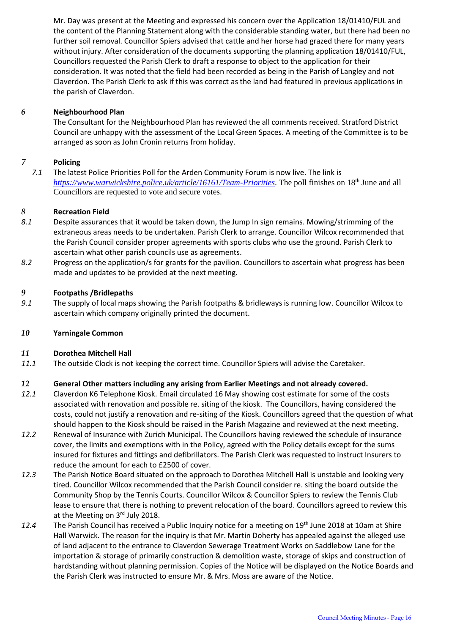Mr. Day was present at the Meeting and expressed his concern over the Application 18/01410/FUL and the content of the Planning Statement along with the considerable standing water, but there had been no further soil removal. Councillor Spiers advised that cattle and her horse had grazed there for many years without injury. After consideration of the documents supporting the planning application 18/01410/FUL, Councillors requested the Parish Clerk to draft a response to object to the application for their consideration. It was noted that the field had been recorded as being in the Parish of Langley and not Claverdon. The Parish Clerk to ask if this was correct as the land had featured in previous applications in the parish of Claverdon.

#### *6* **Neighbourhood Plan**

The Consultant for the Neighbourhood Plan has reviewed the all comments received. Stratford District Council are unhappy with the assessment of the Local Green Spaces. A meeting of the Committee is to be arranged as soon as John Cronin returns from holiday.

#### *7* **Policing**

*7.1* The latest Police Priorities Poll for the Arden Community Forum is now live. The link is *<https://www.warwickshire.police.uk/article/16161/Team-Priorities>*. The poll finishes on 18th June and all Councillors are requested to vote and secure votes.

#### *8* **Recreation Field**

- *8.1* Despite assurances that it would be taken down, the Jump In sign remains. Mowing/strimming of the extraneous areas needs to be undertaken. Parish Clerk to arrange. Councillor Wilcox recommended that the Parish Council consider proper agreements with sports clubs who use the ground. Parish Clerk to ascertain what other parish councils use as agreements.
- *8.2* Progress on the application/s for grants for the pavilion. Councillors to ascertain what progress has been made and updates to be provided at the next meeting.

#### *9* **Footpaths /Bridlepaths**

*9.1* The supply of local maps showing the Parish footpaths & bridleways is running low. Councillor Wilcox to ascertain which company originally printed the document.

#### *10* **Yarningale Common**

#### *11* **Dorothea Mitchell Hall**

*11.1* The outside Clock is not keeping the correct time. Councillor Spiers will advise the Caretaker.

#### *12* **General Other matters including any arising from Earlier Meetings and not already covered.**

- *12.1* Claverdon K6 Telephone Kiosk. Email circulated 16 May showing cost estimate for some of the costs associated with renovation and possible re. siting of the kiosk. The Councillors, having considered the costs, could not justify a renovation and re-siting of the Kiosk. Councillors agreed that the question of what should happen to the Kiosk should be raised in the Parish Magazine and reviewed at the next meeting.
- *12.2* Renewal of Insurance with Zurich Municipal. The Councillors having reviewed the schedule of insurance cover, the limits and exemptions with in the Policy, agreed with the Policy details except for the sums insured for fixtures and fittings and defibrillators. The Parish Clerk was requested to instruct Insurers to reduce the amount for each to £2500 of cover.
- *12.3* The Parish Notice Board situated on the approach to Dorothea Mitchell Hall is unstable and looking very tired. Councillor Wilcox recommended that the Parish Council consider re. siting the board outside the Community Shop by the Tennis Courts. Councillor Wilcox & Councillor Spiers to review the Tennis Club lease to ensure that there is nothing to prevent relocation of the board. Councillors agreed to review this at the Meeting on 3rd July 2018.
- *12.4* The Parish Council has received a Public Inquiry notice for a meeting on 19th June 2018 at 10am at Shire Hall Warwick. The reason for the inquiry is that Mr. Martin Doherty has appealed against the alleged use of land adjacent to the entrance to Claverdon Sewerage Treatment Works on Saddlebow Lane for the importation & storage of primarily construction & demolition waste, storage of skips and construction of hardstanding without planning permission. Copies of the Notice will be displayed on the Notice Boards and the Parish Clerk was instructed to ensure Mr. & Mrs. Moss are aware of the Notice.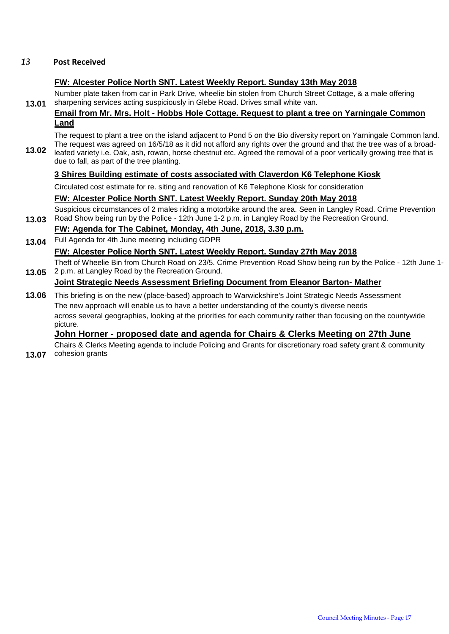#### *13* **Post Received**

## **FW: Alcester Police North SNT. Latest Weekly Report. Sunday 13th May 2018**

**13.01** Number plate taken from car in Park Drive, wheelie bin stolen from Church Street Cottage, & a male offering sharpening services acting suspiciously in Glebe Road. Drives small white van.

## **Email from Mr. Mrs. Holt - Hobbs Hole Cottage. Request to plant a tree on Yarningale Common Land**

**13.02** The request to plant a tree on the island adjacent to Pond 5 on the Bio diversity report on Yarningale Common land. The request was agreed on 16/5/18 as it did not afford any rights over the ground and that the tree was of a broadleafed variety i.e. Oak, ash, rowan, horse chestnut etc. Agreed the removal of a poor vertically growing tree that is due to fall, as part of the tree planting.

## **3 Shires Building estimate of costs associated with Claverdon K6 Telephone Kiosk**

Circulated cost estimate for re. siting and renovation of K6 Telephone Kiosk for consideration

## **FW: Alcester Police North SNT. Latest Weekly Report. Sunday 20th May 2018**

**13.03** Suspicious circumstances of 2 males riding a motorbike around the area. Seen in Langley Road. Crime Prevention Road Show being run by the Police - 12th June 1-2 p.m. in Langley Road by the Recreation Ground.

## **FW: Agenda for The Cabinet, Monday, 4th June, 2018, 3.30 p.m.**

**13.04** Full Agenda for 4th June meeting including GDPR

## **FW: Alcester Police North SNT. Latest Weekly Report. Sunday 27th May 2018**

**13.05** Theft of Wheelie Bin from Church Road on 23/5. Crime Prevention Road Show being run by the Police - 12th June 1- 2 p.m. at Langley Road by the Recreation Ground.

## **Joint Strategic Needs Assessment Briefing Document from Eleanor Barton- Mather**

**13.06** This briefing is on the new (place-based) approach to Warwickshire's Joint Strategic Needs Assessment The new approach will enable us to have a better understanding of the county's diverse needs across several geographies, looking at the priorities for each community rather than focusing on the countywide picture.

## **John Horner - proposed date and agenda for Chairs & Clerks Meeting on 27th June**

**13.07** cohesion grants Chairs & Clerks Meeting agenda to include Policing and Grants for discretionary road safety grant & community